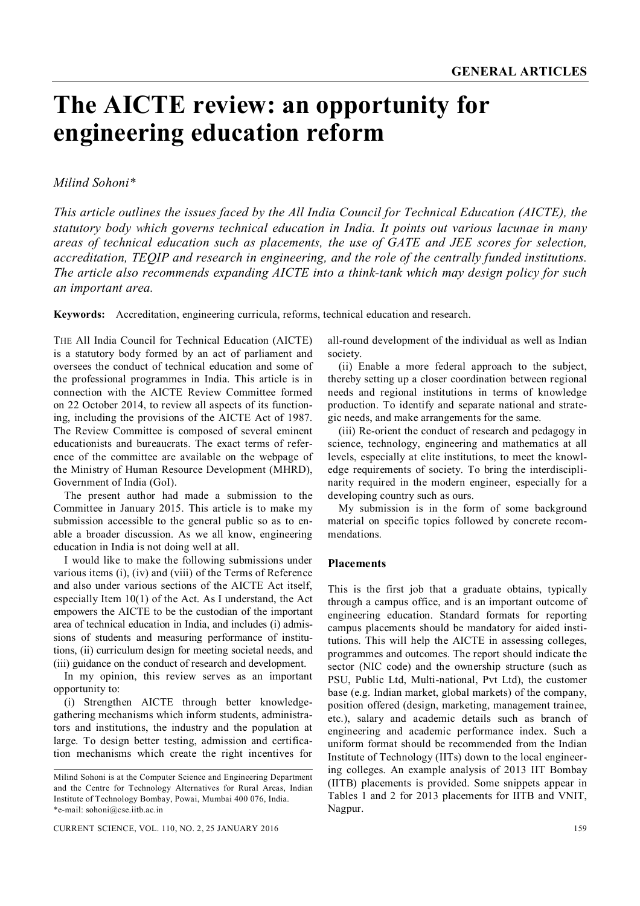# **The AICTE review: an opportunity for engineering education reform**

# *Milind Sohoni\**

*This article outlines the issues faced by the All India Council for Technical Education (AICTE), the statutory body which governs technical education in India. It points out various lacunae in many areas of technical education such as placements, the use of GATE and JEE scores for selection, accreditation, TEQIP and research in engineering, and the role of the centrally funded institutions. The article also recommends expanding AICTE into a think-tank which may design policy for such an important area.*

**Keywords:** Accreditation, engineering curricula, reforms, technical education and research.

THE All India Council for Technical Education (AICTE) is a statutory body formed by an act of parliament and oversees the conduct of technical education and some of the professional programmes in India. This article is in connection with the AICTE Review Committee formed on 22 October 2014, to review all aspects of its functioning, including the provisions of the AICTE Act of 1987. The Review Committee is composed of several eminent educationists and bureaucrats. The exact terms of reference of the committee are available on the webpage of the Ministry of Human Resource Development (MHRD), Government of India (GoI).

The present author had made a submission to the Committee in January 2015. This article is to make my submission accessible to the general public so as to enable a broader discussion. As we all know, engineering education in India is not doing well at all.

I would like to make the following submissions under various items (i), (iv) and (viii) of the Terms of Reference and also under various sections of the AICTE Act itself, especially Item 10(1) of the Act. As I understand, the Act empowers the AICTE to be the custodian of the important area of technical education in India, and includes (i) admissions of students and measuring performance of institutions, (ii) curriculum design for meeting societal needs, and (iii) guidance on the conduct of research and development.

In my opinion, this review serves as an important opportunity to:

(i) Strengthen AICTE through better knowledgegathering mechanisms which inform students, administrators and institutions, the industry and the population at large. To design better testing, admission and certification mechanisms which create the right incentives for all-round development of the individual as well as Indian society.

(ii) Enable a more federal approach to the subject, thereby setting up a closer coordination between regional needs and regional institutions in terms of knowledge production. To identify and separate national and strategic needs, and make arrangements for the same.

(iii) Re-orient the conduct of research and pedagogy in science, technology, engineering and mathematics at all levels, especially at elite institutions, to meet the knowledge requirements of society. To bring the interdisciplinarity required in the modern engineer, especially for a developing country such as ours.

My submission is in the form of some background material on specific topics followed by concrete recommendations.

#### **Placements**

This is the first job that a graduate obtains, typically through a campus office, and is an important outcome of engineering education. Standard formats for reporting campus placements should be mandatory for aided institutions. This will help the AICTE in assessing colleges, programmes and outcomes. The report should indicate the sector (NIC code) and the ownership structure (such as PSU, Public Ltd, Multi-national, Pvt Ltd), the customer base (e.g. Indian market, global markets) of the company, position offered (design, marketing, management trainee, etc.), salary and academic details such as branch of engineering and academic performance index. Such a uniform format should be recommended from the Indian Institute of Technology (IITs) down to the local engineering colleges. An example analysis of 2013 IIT Bombay (IITB) placements is provided. Some snippets appear in Tables 1 and 2 for 2013 placements for IITB and VNIT, Nagpur.

Milind Sohoni is at the Computer Science and Engineering Department and the Centre for Technology Alternatives for Rural Areas, Indian Institute of Technology Bombay, Powai, Mumbai 400 076, India. \*e-mail: sohoni@cse.iitb.ac.in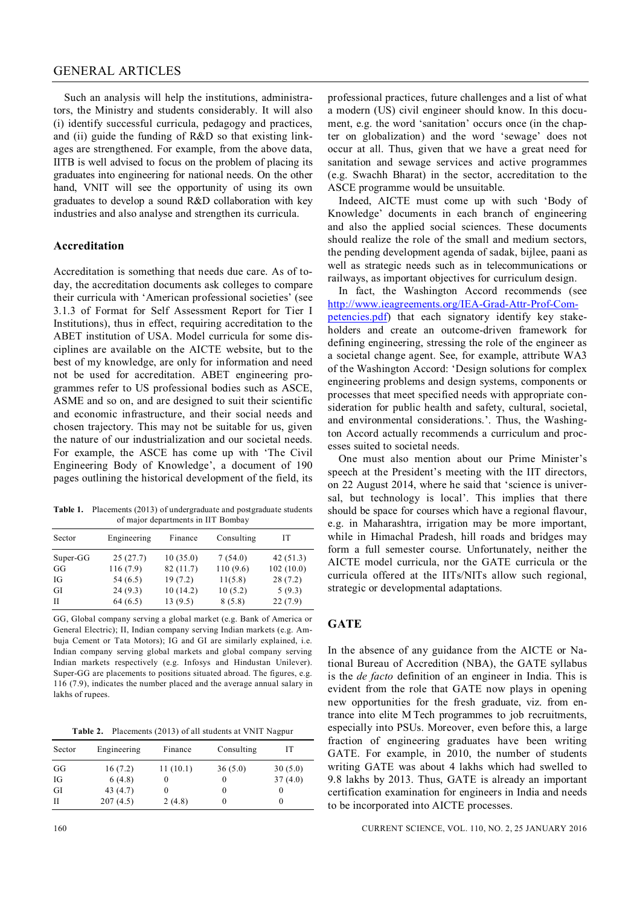#### GENERAL ARTICLES

Such an analysis will help the institutions, administrators, the Ministry and students considerably. It will also (i) identify successful curricula, pedagogy and practices, and (ii) guide the funding of R&D so that existing linkages are strengthened. For example, from the above data, IITB is well advised to focus on the problem of placing its graduates into engineering for national needs. On the other hand, VNIT will see the opportunity of using its own graduates to develop a sound R&D collaboration with key industries and also analyse and strengthen its curricula.

#### **Accreditation**

Accreditation is something that needs due care. As of today, the accreditation documents ask colleges to compare their curricula with 'American professional societies' (see 3.1.3 of Format for Self Assessment Report for Tier I Institutions), thus in effect, requiring accreditation to the ABET institution of USA. Model curricula for some disciplines are available on the AICTE website, but to the best of my knowledge, are only for information and need not be used for accreditation. ABET engineering programmes refer to US professional bodies such as ASCE, ASME and so on, and are designed to suit their scientific and economic infrastructure, and their social needs and chosen trajectory. This may not be suitable for us, given the nature of our industrialization and our societal needs. For example, the ASCE has come up with 'The Civil Engineering Body of Knowledge', a document of 190 pages outlining the historical development of the field, its

**Table 1.** Placements (2013) of undergraduate and postgraduate students of major departments in IIT Bombay

| Sector   |             |          |            | IТ        |
|----------|-------------|----------|------------|-----------|
|          | Engineering | Finance  | Consulting |           |
| Super-GG | 25(27.7)    | 10(35.0) | 7(54.0)    | 42(51.3)  |
| GG       | 116 (7.9)   | 82(11.7) | 110(9.6)   | 102(10.0) |
| IG       | 54 (6.5)    | 19(7.2)  | 11(5.8)    | 28(7.2)   |
| GI       | 24(9.3)     | 10(14.2) | 10(5.2)    | 5(9.3)    |
| H        | 64(6.5)     | 13(9.5)  | 8(5.8)     | 22(7.9)   |

GG, Global company serving a global market (e.g. Bank of America or General Electric); II, Indian company serving Indian markets (e.g. Ambuja Cement or Tata Motors); IG and GI are similarly explained, i.e. Indian company serving global markets and global company serving Indian markets respectively (e.g. Infosys and Hindustan Unilever). Super-GG are placements to positions situated abroad. The figures, e.g. 116 (7.9), indicates the number placed and the average annual salary in lakhs of rupees.

**Table 2.** Placements (2013) of all students at VNIT Nagpur

| Sector | Engineering | Finance  | Consulting | IТ      |
|--------|-------------|----------|------------|---------|
| GG     | 16(7.2)     | 11(10.1) | 36(5.0)    | 30(5.0) |
| IG     | 6(4.8)      | $\theta$ |            | 37(4.0) |
| GI     | 43(4.7)     | $\theta$ |            |         |
| Н      | 207(4.5)    | 2(4.8)   |            |         |

professional practices, future challenges and a list of what a modern (US) civil engineer should know. In this document, e.g. the word 'sanitation' occurs once (in the chapter on globalization) and the word 'sewage' does not occur at all. Thus, given that we have a great need for sanitation and sewage services and active programmes (e.g. Swachh Bharat) in the sector, accreditation to the ASCE programme would be unsuitable.

Indeed, AICTE must come up with such 'Body of Knowledge' documents in each branch of engineering and also the applied social sciences. These documents should realize the role of the small and medium sectors, the pending development agenda of sadak, bijlee, paani as well as strategic needs such as in telecommunications or railways, as important objectives for curriculum design.

In fact, the Washington Accord recommends (see http://www.ieagreements.org/IEA-Grad-Attr-Prof-Competencies.pdf) that each signatory identify key stakeholders and create an outcome-driven framework for defining engineering, stressing the role of the engineer as a societal change agent. See, for example, attribute WA3 of the Washington Accord: 'Design solutions for complex engineering problems and design systems, components or processes that meet specified needs with appropriate consideration for public health and safety, cultural, societal, and environmental considerations.'. Thus, the Washington Accord actually recommends a curriculum and processes suited to societal needs.

One must also mention about our Prime Minister's speech at the President's meeting with the IIT directors, on 22 August 2014, where he said that 'science is universal, but technology is local'. This implies that there should be space for courses which have a regional flavour, e.g. in Maharashtra, irrigation may be more important, while in Himachal Pradesh, hill roads and bridges may form a full semester course. Unfortunately, neither the AICTE model curricula, nor the GATE curricula or the curricula offered at the IITs/NITs allow such regional, strategic or developmental adaptations.

#### **GATE**

In the absence of any guidance from the AICTE or National Bureau of Accredition (NBA), the GATE syllabus is the *de facto* definition of an engineer in India. This is evident from the role that GATE now plays in opening new opportunities for the fresh graduate, viz. from entrance into elite M Tech programmes to job recruitments, especially into PSUs. Moreover, even before this, a large fraction of engineering graduates have been writing GATE. For example, in 2010, the number of students writing GATE was about 4 lakhs which had swelled to 9.8 lakhs by 2013. Thus, GATE is already an important certification examination for engineers in India and needs to be incorporated into AICTE processes.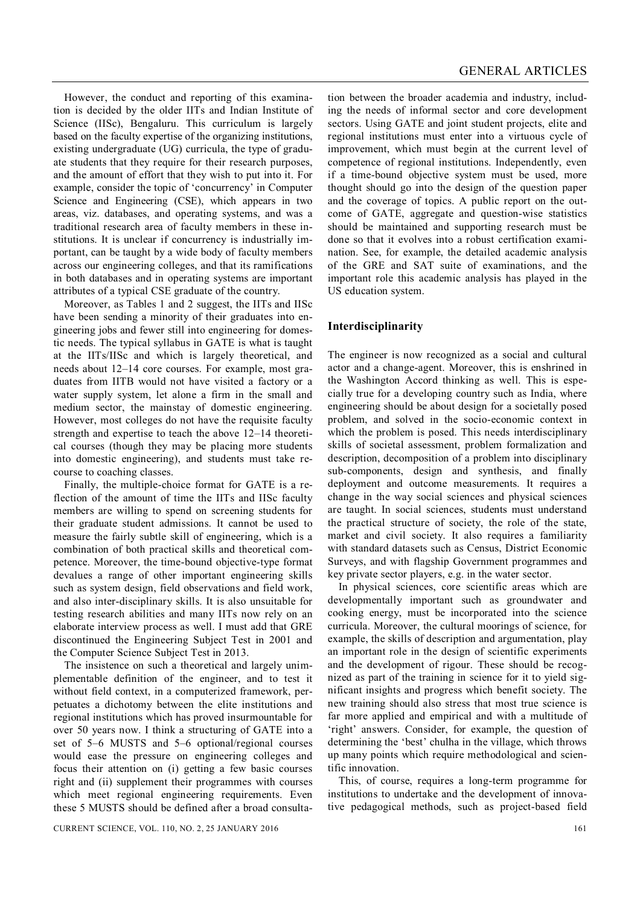However, the conduct and reporting of this examination is decided by the older IITs and Indian Institute of Science (IISc), Bengaluru. This curriculum is largely based on the faculty expertise of the organizing institutions, existing undergraduate (UG) curricula, the type of graduate students that they require for their research purposes, and the amount of effort that they wish to put into it. For example, consider the topic of 'concurrency' in Computer Science and Engineering (CSE), which appears in two areas, viz. databases, and operating systems, and was a traditional research area of faculty members in these institutions. It is unclear if concurrency is industrially important, can be taught by a wide body of faculty members across our engineering colleges, and that its ramifications in both databases and in operating systems are important attributes of a typical CSE graduate of the country.

Moreover, as Tables 1 and 2 suggest, the IITs and IISc have been sending a minority of their graduates into engineering jobs and fewer still into engineering for domestic needs. The typical syllabus in GATE is what is taught at the IITs/IISc and which is largely theoretical, and needs about 12–14 core courses. For example, most graduates from IITB would not have visited a factory or a water supply system, let alone a firm in the small and medium sector, the mainstay of domestic engineering. However, most colleges do not have the requisite faculty strength and expertise to teach the above 12–14 theoretical courses (though they may be placing more students into domestic engineering), and students must take recourse to coaching classes.

Finally, the multiple-choice format for GATE is a reflection of the amount of time the IITs and IISc faculty members are willing to spend on screening students for their graduate student admissions. It cannot be used to measure the fairly subtle skill of engineering, which is a combination of both practical skills and theoretical competence. Moreover, the time-bound objective-type format devalues a range of other important engineering skills such as system design, field observations and field work, and also inter-disciplinary skills. It is also unsuitable for testing research abilities and many IITs now rely on an elaborate interview process as well. I must add that GRE discontinued the Engineering Subject Test in 2001 and the Computer Science Subject Test in 2013.

The insistence on such a theoretical and largely unimplementable definition of the engineer, and to test it without field context, in a computerized framework, perpetuates a dichotomy between the elite institutions and regional institutions which has proved insurmountable for over 50 years now. I think a structuring of GATE into a set of 5–6 MUSTS and 5–6 optional/regional courses would ease the pressure on engineering colleges and focus their attention on (i) getting a few basic courses right and (ii) supplement their programmes with courses which meet regional engineering requirements. Even these 5 MUSTS should be defined after a broad consulta-

tion between the broader academia and industry, including the needs of informal sector and core development sectors. Using GATE and joint student projects, elite and regional institutions must enter into a virtuous cycle of improvement, which must begin at the current level of competence of regional institutions. Independently, even if a time-bound objective system must be used, more thought should go into the design of the question paper and the coverage of topics. A public report on the outcome of GATE, aggregate and question-wise statistics should be maintained and supporting research must be done so that it evolves into a robust certification examination. See, for example, the detailed academic analysis of the GRE and SAT suite of examinations, and the important role this academic analysis has played in the US education system.

### **Interdisciplinarity**

The engineer is now recognized as a social and cultural actor and a change-agent. Moreover, this is enshrined in the Washington Accord thinking as well. This is especially true for a developing country such as India, where engineering should be about design for a societally posed problem, and solved in the socio-economic context in which the problem is posed. This needs interdisciplinary skills of societal assessment, problem formalization and description, decomposition of a problem into disciplinary sub-components, design and synthesis, and finally deployment and outcome measurements. It requires a change in the way social sciences and physical sciences are taught. In social sciences, students must understand the practical structure of society, the role of the state, market and civil society. It also requires a familiarity with standard datasets such as Census, District Economic Surveys, and with flagship Government programmes and key private sector players, e.g. in the water sector.

In physical sciences, core scientific areas which are developmentally important such as groundwater and cooking energy, must be incorporated into the science curricula. Moreover, the cultural moorings of science, for example, the skills of description and argumentation, play an important role in the design of scientific experiments and the development of rigour. These should be recognized as part of the training in science for it to yield significant insights and progress which benefit society. The new training should also stress that most true science is far more applied and empirical and with a multitude of 'right' answers. Consider, for example, the question of determining the 'best' chulha in the village, which throws up many points which require methodological and scientific innovation.

This, of course, requires a long-term programme for institutions to undertake and the development of innovative pedagogical methods, such as project-based field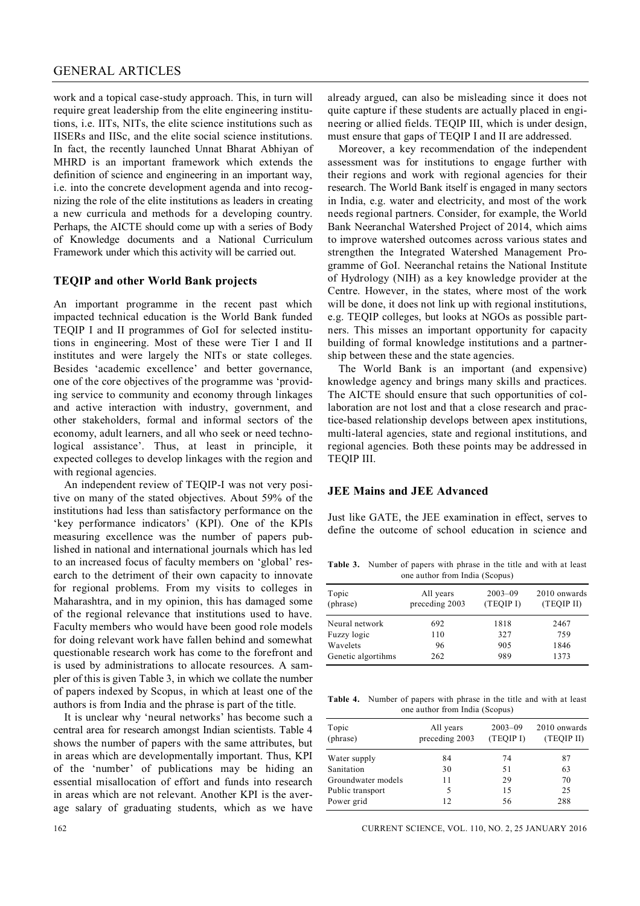#### GENERAL ARTICLES

work and a topical case-study approach. This, in turn will require great leadership from the elite engineering institutions, i.e. IITs, NITs, the elite science institutions such as IISERs and IISc, and the elite social science institutions. In fact, the recently launched Unnat Bharat Abhiyan of MHRD is an important framework which extends the definition of science and engineering in an important way, i.e. into the concrete development agenda and into recognizing the role of the elite institutions as leaders in creating a new curricula and methods for a developing country. Perhaps, the AICTE should come up with a series of Body of Knowledge documents and a National Curriculum Framework under which this activity will be carried out.

#### **TEQIP and other World Bank projects**

An important programme in the recent past which impacted technical education is the World Bank funded TEQIP I and II programmes of GoI for selected institutions in engineering. Most of these were Tier I and II institutes and were largely the NITs or state colleges. Besides 'academic excellence' and better governance, one of the core objectives of the programme was 'providing service to community and economy through linkages and active interaction with industry, government, and other stakeholders, formal and informal sectors of the economy, adult learners, and all who seek or need technological assistance'. Thus, at least in principle, it expected colleges to develop linkages with the region and with regional agencies.

An independent review of TEQIP-I was not very positive on many of the stated objectives. About 59% of the institutions had less than satisfactory performance on the 'key performance indicators' (KPI). One of the KPIs measuring excellence was the number of papers published in national and international journals which has led to an increased focus of faculty members on 'global' research to the detriment of their own capacity to innovate for regional problems. From my visits to colleges in Maharashtra, and in my opinion, this has damaged some of the regional relevance that institutions used to have. Faculty members who would have been good role models for doing relevant work have fallen behind and somewhat questionable research work has come to the forefront and is used by administrations to allocate resources. A sampler of this is given Table 3, in which we collate the number of papers indexed by Scopus, in which at least one of the authors is from India and the phrase is part of the title.

It is unclear why 'neural networks' has become such a central area for research amongst Indian scientists. Table 4 shows the number of papers with the same attributes, but in areas which are developmentally important. Thus, KPI of the 'number' of publications may be hiding an essential misallocation of effort and funds into research in areas which are not relevant. Another KPI is the average salary of graduating students, which as we have already argued, can also be misleading since it does not quite capture if these students are actually placed in engineering or allied fields. TEQIP III, which is under design, must ensure that gaps of TEQIP I and II are addressed.

Moreover, a key recommendation of the independent assessment was for institutions to engage further with their regions and work with regional agencies for their research. The World Bank itself is engaged in many sectors in India, e.g. water and electricity, and most of the work needs regional partners. Consider, for example, the World Bank Neeranchal Watershed Project of 2014, which aims to improve watershed outcomes across various states and strengthen the Integrated Watershed Management Programme of GoI. Neeranchal retains the National Institute of Hydrology (NIH) as a key knowledge provider at the Centre. However, in the states, where most of the work will be done, it does not link up with regional institutions, e.g. TEQIP colleges, but looks at NGOs as possible partners. This misses an important opportunity for capacity building of formal knowledge institutions and a partnership between these and the state agencies.

The World Bank is an important (and expensive) knowledge agency and brings many skills and practices. The AICTE should ensure that such opportunities of collaboration are not lost and that a close research and practice-based relationship develops between apex institutions, multi-lateral agencies, state and regional institutions, and regional agencies. Both these points may be addressed in TEQIP III.

## **JEE Mains and JEE Advanced**

Just like GATE, the JEE examination in effect, serves to define the outcome of school education in science and

**Table 3.** Number of papers with phrase in the title and with at least one author from India (Scopus)

| Topic<br>(phrase)  | All years<br>preceding 2003 | $2003 - 09$<br>(TEQIP I) | 2010 onwards<br>(TEQIP II) |  |
|--------------------|-----------------------------|--------------------------|----------------------------|--|
| Neural network     | 692                         | 1818                     | 2467                       |  |
| Fuzzy logic        | 110                         | 327                      | 759                        |  |
| Wavelets           | 96                          | 905                      | 1846                       |  |
| Genetic algortihms | 262                         | 989                      | 1373                       |  |

**Table 4.** Number of papers with phrase in the title and with at least one author from India (Scopus)

| Topic<br>(phrase)  | All years<br>preceding 2003 | $2003 - 09$<br>(TEQIP I) | 2010 onwards<br>(TEQIP II) |
|--------------------|-----------------------------|--------------------------|----------------------------|
| Water supply       | 84                          | 74                       | 87                         |
| Sanitation         | 30                          | 51                       | 63                         |
| Groundwater models | 11                          | 29                       | 70                         |
| Public transport   | 5                           | 15                       | 25                         |
| Power grid         | 12                          | 56                       | 288                        |

162 CURRENT SCIENCE, VOL. 110, NO. 2, 25 JANUARY 2016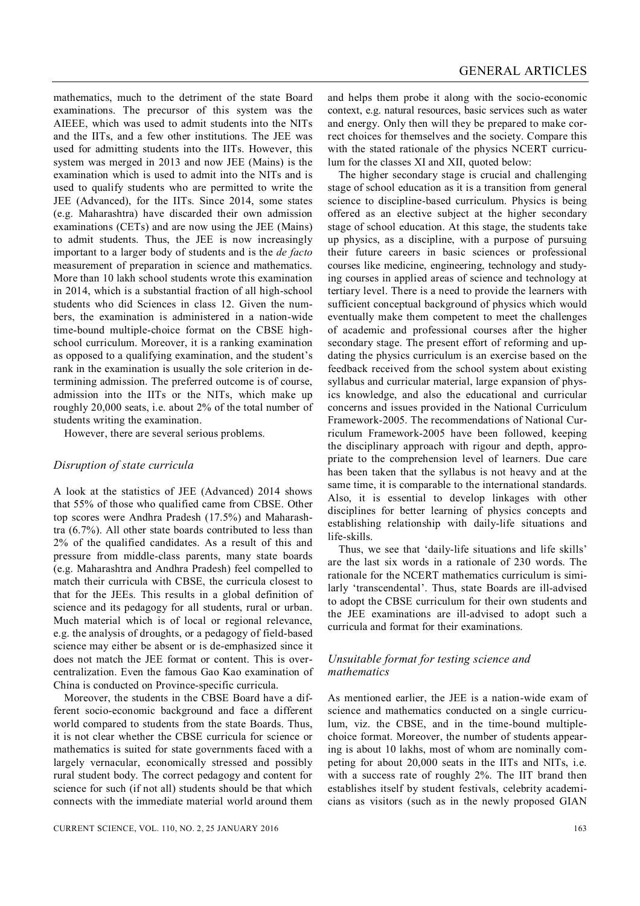mathematics, much to the detriment of the state Board examinations. The precursor of this system was the AIEEE, which was used to admit students into the NITs and the IITs, and a few other institutions. The JEE was used for admitting students into the IITs. However, this system was merged in 2013 and now JEE (Mains) is the examination which is used to admit into the NITs and is used to qualify students who are permitted to write the JEE (Advanced), for the IITs. Since 2014, some states (e.g. Maharashtra) have discarded their own admission examinations (CETs) and are now using the JEE (Mains) to admit students. Thus, the JEE is now increasingly important to a larger body of students and is the *de facto* measurement of preparation in science and mathematics. More than 10 lakh school students wrote this examination in 2014, which is a substantial fraction of all high-school students who did Sciences in class 12. Given the numbers, the examination is administered in a nation-wide time-bound multiple-choice format on the CBSE highschool curriculum. Moreover, it is a ranking examination as opposed to a qualifying examination, and the student's rank in the examination is usually the sole criterion in determining admission. The preferred outcome is of course, admission into the IITs or the NITs, which make up roughly 20,000 seats, i.e. about 2% of the total number of students writing the examination.

However, there are several serious problems.

#### *Disruption of state curricula*

A look at the statistics of JEE (Advanced) 2014 shows that 55% of those who qualified came from CBSE. Other top scores were Andhra Pradesh (17.5%) and Maharashtra (6.7%). All other state boards contributed to less than 2% of the qualified candidates. As a result of this and pressure from middle-class parents, many state boards (e.g. Maharashtra and Andhra Pradesh) feel compelled to match their curricula with CBSE, the curricula closest to that for the JEEs. This results in a global definition of science and its pedagogy for all students, rural or urban. Much material which is of local or regional relevance, e.g. the analysis of droughts, or a pedagogy of field-based science may either be absent or is de-emphasized since it does not match the JEE format or content. This is overcentralization. Even the famous Gao Kao examination of China is conducted on Province-specific curricula.

Moreover, the students in the CBSE Board have a different socio-economic background and face a different world compared to students from the state Boards. Thus, it is not clear whether the CBSE curricula for science or mathematics is suited for state governments faced with a largely vernacular, economically stressed and possibly rural student body. The correct pedagogy and content for science for such (if not all) students should be that which connects with the immediate material world around them

and helps them probe it along with the socio-economic context, e.g. natural resources, basic services such as water and energy. Only then will they be prepared to make correct choices for themselves and the society. Compare this with the stated rationale of the physics NCERT curriculum for the classes XI and XII, quoted below:

The higher secondary stage is crucial and challenging stage of school education as it is a transition from general science to discipline-based curriculum. Physics is being offered as an elective subject at the higher secondary stage of school education. At this stage, the students take up physics, as a discipline, with a purpose of pursuing their future careers in basic sciences or professional courses like medicine, engineering, technology and studying courses in applied areas of science and technology at tertiary level. There is a need to provide the learners with sufficient conceptual background of physics which would eventually make them competent to meet the challenges of academic and professional courses after the higher secondary stage. The present effort of reforming and updating the physics curriculum is an exercise based on the feedback received from the school system about existing syllabus and curricular material, large expansion of physics knowledge, and also the educational and curricular concerns and issues provided in the National Curriculum Framework-2005. The recommendations of National Curriculum Framework-2005 have been followed, keeping the disciplinary approach with rigour and depth, appropriate to the comprehension level of learners. Due care has been taken that the syllabus is not heavy and at the same time, it is comparable to the international standards. Also, it is essential to develop linkages with other disciplines for better learning of physics concepts and establishing relationship with daily-life situations and life-skills.

Thus, we see that 'daily-life situations and life skills' are the last six words in a rationale of 230 words. The rationale for the NCERT mathematics curriculum is similarly 'transcendental'. Thus, state Boards are ill-advised to adopt the CBSE curriculum for their own students and the JEE examinations are ill-advised to adopt such a curricula and format for their examinations.

## *Unsuitable format for testing science and mathematics*

As mentioned earlier, the JEE is a nation-wide exam of science and mathematics conducted on a single curriculum, viz. the CBSE, and in the time-bound multiplechoice format. Moreover, the number of students appearing is about 10 lakhs, most of whom are nominally competing for about 20,000 seats in the IITs and NITs, i.e. with a success rate of roughly 2%. The IIT brand then establishes itself by student festivals, celebrity academicians as visitors (such as in the newly proposed GIAN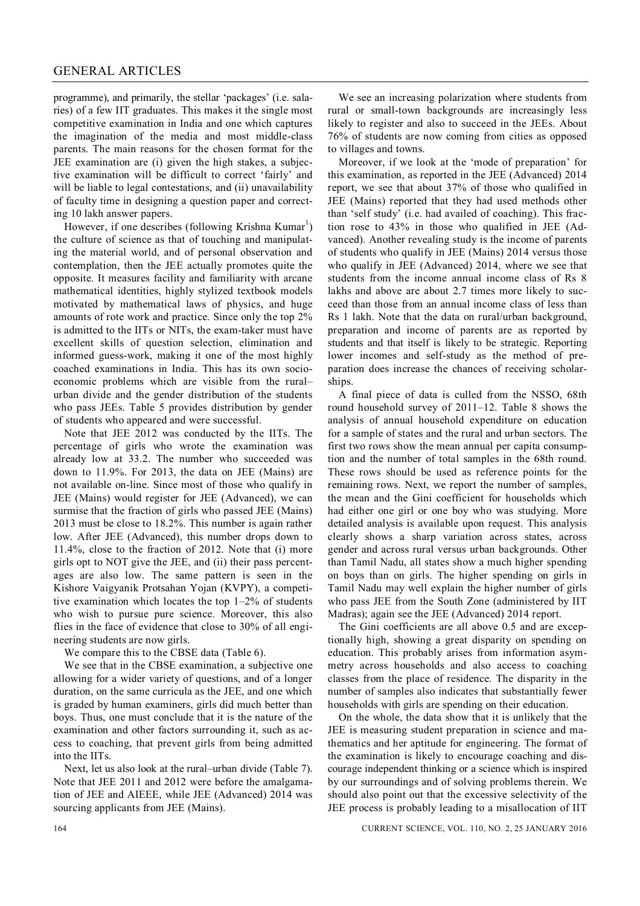programme), and primarily, the stellar 'packages' (i.e. salaries) of a few IIT graduates. This makes it the single most competitive examination in India and one which captures the imagination of the media and most middle-class parents. The main reasons for the chosen format for the JEE examination are (i) given the high stakes, a subjective examination will be difficult to correct 'fairly' and will be liable to legal contestations, and (ii) unavailability of faculty time in designing a question paper and correcting 10 lakh answer papers.

However, if one describes (following Krishna Kumar<sup>1</sup>) the culture of science as that of touching and manipulating the material world, and of personal observation and contemplation, then the JEE actually promotes quite the opposite. It measures facility and familiarity with arcane mathematical identities, highly stylized textbook models motivated by mathematical laws of physics, and huge amounts of rote work and practice. Since only the top 2% is admitted to the IITs or NITs, the exam-taker must have excellent skills of question selection, elimination and informed guess-work, making it one of the most highly coached examinations in India. This has its own socioeconomic problems which are visible from the rural– urban divide and the gender distribution of the students who pass JEEs. Table 5 provides distribution by gender of students who appeared and were successful.

Note that JEE 2012 was conducted by the IITs. The percentage of girls who wrote the examination was already low at 33.2. The number who succeeded was down to 11.9%. For 2013, the data on JEE (Mains) are not available on-line. Since most of those who qualify in JEE (Mains) would register for JEE (Advanced), we can surmise that the fraction of girls who passed JEE (Mains) 2013 must be close to 18.2%. This number is again rather low. After JEE (Advanced), this number drops down to 11.4%, close to the fraction of 2012. Note that (i) more girls opt to NOT give the JEE, and (ii) their pass percentages are also low. The same pattern is seen in the Kishore Vaigyanik Protsahan Yojan (KVPY), a competitive examination which locates the top 1–2% of students who wish to pursue pure science. Moreover, this also flies in the face of evidence that close to 30% of all engineering students are now girls.

We compare this to the CBSE data (Table 6).

We see that in the CBSE examination, a subjective one allowing for a wider variety of questions, and of a longer duration, on the same curricula as the JEE, and one which is graded by human examiners, girls did much better than boys. Thus, one must conclude that it is the nature of the examination and other factors surrounding it, such as access to coaching, that prevent girls from being admitted into the IITs.

Next, let us also look at the rural–urban divide (Table 7). Note that JEE 2011 and 2012 were before the amalgamation of JEE and AIEEE, while JEE (Advanced) 2014 was sourcing applicants from JEE (Mains).

We see an increasing polarization where students from rural or small-town backgrounds are increasingly less likely to register and also to succeed in the JEEs. About 76% of students are now coming from cities as opposed to villages and towns.

Moreover, if we look at the 'mode of preparation' for this examination, as reported in the JEE (Advanced) 2014 report, we see that about 37% of those who qualified in JEE (Mains) reported that they had used methods other than 'self study' (i.e. had availed of coaching). This fraction rose to 43% in those who qualified in JEE (Advanced). Another revealing study is the income of parents of students who qualify in JEE (Mains) 2014 versus those who qualify in JEE (Advanced) 2014, where we see that students from the income annual income class of Rs 8 lakhs and above are about 2.7 times more likely to succeed than those from an annual income class of less than Rs 1 lakh. Note that the data on rural/urban background, preparation and income of parents are as reported by students and that itself is likely to be strategic. Reporting lower incomes and self-study as the method of preparation does increase the chances of receiving scholarships.

A final piece of data is culled from the NSSO, 68th round household survey of 2011–12. Table 8 shows the analysis of annual household expenditure on education for a sample of states and the rural and urban sectors. The first two rows show the mean annual per capita consumption and the number of total samples in the 68th round. These rows should be used as reference points for the remaining rows. Next, we report the number of samples, the mean and the Gini coefficient for households which had either one girl or one boy who was studying. More detailed analysis is available upon request. This analysis clearly shows a sharp variation across states, across gender and across rural versus urban backgrounds. Other than Tamil Nadu, all states show a much higher spending on boys than on girls. The higher spending on girls in Tamil Nadu may well explain the higher number of girls who pass JEE from the South Zone (administered by IIT Madras); again see the JEE (Advanced) 2014 report.

The Gini coefficients are all above 0.5 and are exceptionally high, showing a great disparity on spending on education. This probably arises from information asymmetry across households and also access to coaching classes from the place of residence. The disparity in the number of samples also indicates that substantially fewer households with girls are spending on their education.

On the whole, the data show that it is unlikely that the JEE is measuring student preparation in science and mathematics and her aptitude for engineering. The format of the examination is likely to encourage coaching and discourage independent thinking or a science which is inspired by our surroundings and of solving problems therein. We should also point out that the excessive selectivity of the JEE process is probably leading to a misallocation of IIT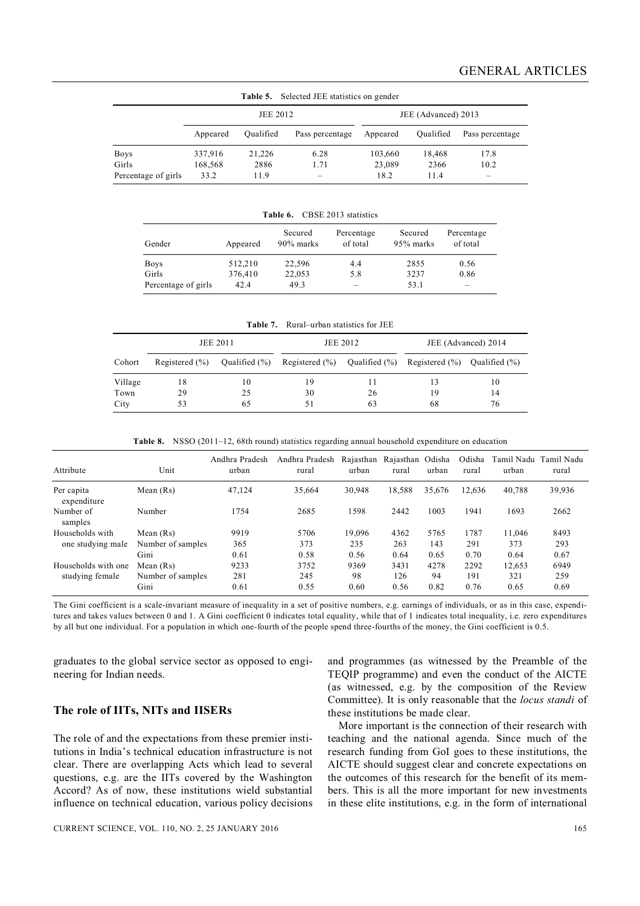| <b>rapic 3.</b> Beneficial statistics on genuer |          |           |                          |          |                     |                          |
|-------------------------------------------------|----------|-----------|--------------------------|----------|---------------------|--------------------------|
|                                                 | JEE 2012 |           |                          |          | JEE (Advanced) 2013 |                          |
|                                                 | Appeared | Oualified | Pass percentage          | Appeared | Qualified           | Pass percentage          |
| <b>Boys</b>                                     | 337,916  | 21.226    | 6.28                     | 103,660  | 18,468              | 17.8                     |
| Girls                                           | 168,568  | 2886      | 1.71                     | 23,089   | 2366                | 10.2                     |
| Percentage of girls                             | 33.2     | 11.9      | $\overline{\phantom{a}}$ | 18.2     | 11.4                | $\overline{\phantom{a}}$ |

**Table 5.** Selected JEE statistics on gender

| <b>Table 6.</b> CBSE 2013 statistics |  |
|--------------------------------------|--|

| Gender              | Appeared | Secured<br>90% marks | Percentage<br>of total | Secured<br>95% marks | Percentage<br>of total   |
|---------------------|----------|----------------------|------------------------|----------------------|--------------------------|
| <b>Boys</b>         | 512,210  | 22,596               | 4.4                    | 2855                 | 0.56                     |
| Girls               | 376,410  | 22,053               | 5.8                    | 3237                 | 0.86                     |
| Percentage of girls | 42.4     | 49.3                 | -                      | 53.1                 | $\overline{\phantom{a}}$ |

| <b>Table 7.</b> Rural–urban statistics for JEE |  |  |
|------------------------------------------------|--|--|

| <b>JEE 2011</b> |                    |               | JEE 2012                           | JEE (Advanced) 2014 |                                      |    |
|-----------------|--------------------|---------------|------------------------------------|---------------------|--------------------------------------|----|
| Cohort          | Registered $(\% )$ | Qualified (%) | Registered $(\%)$ Qualified $(\%)$ |                     | Registered $(\% )$ Qualified $(\% )$ |    |
| Village         | 18                 | 10            | 19                                 |                     | 13                                   | 10 |
| Town            | 29                 | 25            | 30                                 | 26                  | 19                                   | 14 |
| City            | 53                 | 65            | 51                                 | 63                  | 68                                   | 76 |

**Table 8.** NSSO (2011–12, 68th round) statistics regarding annual household expenditure on education

| Attribute                 | Unit              | Andhra Pradesh<br>urban | Andhra Pradesh<br>rural | Rajasthan<br>urban | Rajasthan Odisha<br>rural | urban  | Odisha<br>rural | Tamil Nadu<br>urban | Tamil Nadu<br>rural |
|---------------------------|-------------------|-------------------------|-------------------------|--------------------|---------------------------|--------|-----------------|---------------------|---------------------|
| Per capita<br>expenditure | Mean $(Rs)$       | 47,124                  | 35,664                  | 30,948             | 18,588                    | 35,676 | 12.636          | 40,788              | 39,936              |
| Number of<br>samples      | Number            | 1754                    | 2685                    | 1598               | 2442                      | 1003   | 1941            | 1693                | 2662                |
| Households with           | Mean $(Rs)$       | 9919                    | 5706                    | 19.096             | 4362                      | 5765   | 1787            | 11,046              | 8493                |
| one studying male         | Number of samples | 365                     | 373                     | 235                | 263                       | 143    | 291             | 373                 | 293                 |
|                           | Gini              | 0.61                    | 0.58                    | 0.56               | 0.64                      | 0.65   | 0.70            | 0.64                | 0.67                |
| Households with one       | Mean $(Rs)$       | 9233                    | 3752                    | 9369               | 3431                      | 4278   | 2292            | 12,653              | 6949                |
| studying female           | Number of samples | 281                     | 245                     | 98                 | 126                       | 94     | 191             | 321                 | 259                 |
|                           | Gini              | 0.61                    | 0.55                    | 0.60               | 0.56                      | 0.82   | 0.76            | 0.65                | 0.69                |

The Gini coefficient is a scale-invariant measure of inequality in a set of positive numbers, e.g. earnings of individuals, or as in this case, expenditures and takes values between 0 and 1. A Gini coefficient 0 indicates total equality, while that of 1 indicates total inequality, i.e. zero expenditures by all but one individual. For a population in which one-fourth of the people spend three-fourths of the money, the Gini coefficient is 0.5.

graduates to the global service sector as opposed to engineering for Indian needs.

#### **The role of IITs, NITs and IISERs**

The role of and the expectations from these premier institutions in India's technical education infrastructure is not clear. There are overlapping Acts which lead to several questions, e.g. are the IITs covered by the Washington Accord? As of now, these institutions wield substantial influence on technical education, various policy decisions

and programmes (as witnessed by the Preamble of the TEQIP programme) and even the conduct of the AICTE (as witnessed, e.g. by the composition of the Review Committee). It is only reasonable that the *locus standi* of these institutions be made clear.

More important is the connection of their research with teaching and the national agenda. Since much of the research funding from GoI goes to these institutions, the AICTE should suggest clear and concrete expectations on the outcomes of this research for the benefit of its members. This is all the more important for new investments in these elite institutions, e.g. in the form of international